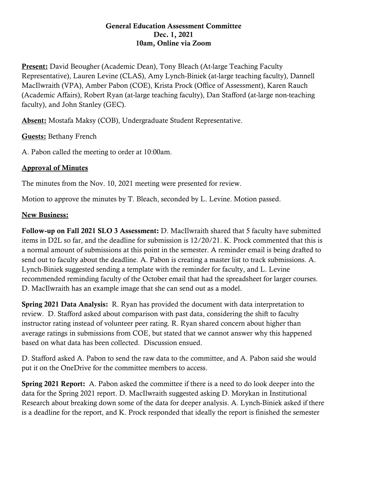## General Education Assessment Committee Dec. 1, 2021 10am, Online via Zoom

**Present:** David Beougher (Academic Dean), Tony Bleach (At-large Teaching Faculty Representative), Lauren Levine (CLAS), Amy Lynch-Biniek (at-large teaching faculty), Dannell MacIlwraith (VPA), Amber Pabon (COE), Krista Prock (Office of Assessment), Karen Rauch (Academic Affairs), Robert Ryan (at-large teaching faculty), Dan Stafford (at-large non-teaching faculty), and John Stanley (GEC).

Absent: Mostafa Maksy (COB), Undergraduate Student Representative.

Guests: Bethany French

A. Pabon called the meeting to order at 10:00am.

## Approval of Minutes

The minutes from the Nov. 10, 2021 meeting were presented for review.

Motion to approve the minutes by T. Bleach, seconded by L. Levine. Motion passed.

## New Business:

Follow-up on Fall 2021 SLO 3 Assessment: D. MacIlwraith shared that 5 faculty have submitted items in D2L so far, and the deadline for submission is 12/20/21. K. Prock commented that this is a normal amount of submissions at this point in the semester. A reminder email is being drafted to send out to faculty about the deadline. A. Pabon is creating a master list to track submissions. A. Lynch-Biniek suggested sending a template with the reminder for faculty, and L. Levine recommended reminding faculty of the October email that had the spreadsheet for larger courses. D. MacIlwraith has an example image that she can send out as a model.

Spring 2021 Data Analysis: R. Ryan has provided the document with data interpretation to review. D. Stafford asked about comparison with past data, considering the shift to faculty instructor rating instead of volunteer peer rating. R. Ryan shared concern about higher than average ratings in submissions from COE, but stated that we cannot answer why this happened based on what data has been collected. Discussion ensued.

D. Stafford asked A. Pabon to send the raw data to the committee, and A. Pabon said she would put it on the OneDrive for the committee members to access.

Spring 2021 Report: A. Pabon asked the committee if there is a need to do look deeper into the data for the Spring 2021 report. D. MacIlwraith suggested asking D. Morykan in Institutional Research about breaking down some of the data for deeper analysis. A. Lynch-Biniek asked if there is a deadline for the report, and K. Prock responded that ideally the report is finished the semester